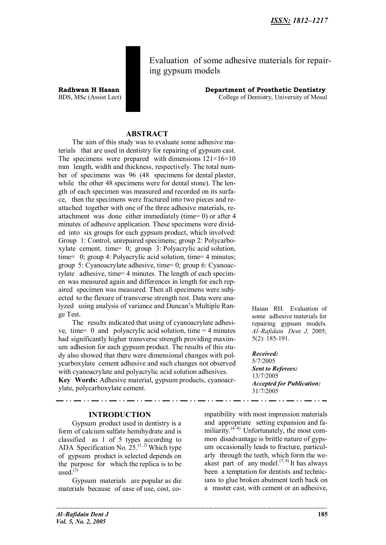Evaluation of some adhesive materials for repairing gypsum models

**Radhwan H Hasan Department of Prosthetic Dentistry** BDS, MSc (Assist Lect) College of Dentistry, University of Mosul

### **ABSTRACT**

The aim of this study was to evaluate some adhesive materials that are used in dentistry for repairing of gypsum cast. The specimens were prepared with dimensions  $121 \times 16 \times 10$ mm length, width and thickness, respectively. The total number of specimens was 96 (48 specimens for dental plaster, while the other 48 specimens were for dental stone). The length of each specimen was measured and recorded on its surface, then the specimens were fractured into two pieces and reattached together with one of the three adhesive materials, reattachment was done either immediately (time= 0) or after 4 minutes of adhesive application. These specimens were divided into six groups for each gypsum product, which involved: Group 1: Control, unrepaired specimens; group 2: Polycarboxylate cement, time= 0; group 3: Polyacrylic acid solution, time= 0; group 4: Polyacrylic acid solution, time= 4 minutes; group 5: Cyanoacrylate adhesive, time= 0; group 6: Cyanoacrylate adhesive, time= 4 minutes. The length of each specimen was measured again and differences in length for each repaired specimen was measured. Then all specimens were subjected to the flexure of transverse strength test. Data were analyzed using analysis of variance and Duncan's Multiple Range Test.

The results indicated that using of cyanoacrylate adhesive, time =  $\theta$  and polyacrylic acid solution, time =  $4$  minutes had significantly higher transverse strength providing maximum adhesion for each gypsum product. The results of this study also showed that there were dimensional changes with polycarboxylate cement adhesive and such changes not observed with cyanoacrylate and polyacrylic acid solution adhesives. **Key Words:** Adhesive material, gypsum products, cyanoacr-

. . . .

ylate, polycarboxylate cement.

### **INTRODUCTION**

Gypsum product used in dentistry is a form of calcium sulfate hemihydrate and is classified as 1 of 5 types according to ADA Specification No.  $25^{(1, 2)}$  Which type of gypsum product is selected depends on the purpose for which the replica is to be  $used<sup>(3)</sup>$ 

Gypsum materials are popular as die materials because of ease of use, cost, co-

Hasan RH. Evaluation of some adhesive materials for repairing gypsum models. *Al–Rafidain Dent J*. 2005; 5(2): 185-191.

*Received:* 5/7/2005 *Sent to Referees:* 13/7/2005 *Accepted for Publication:* 31/7/2005

mpatibility with most impression materials and appropriate setting expansion and familiarity. $(4-6)$  Unfortunately, the most common disadvantage is brittle nature of gypsum occasionally leads to fracture, particularly through the teeth, which form the weakest part of any model.<sup> $(7, 8)$ </sup> It has always been a temptation for dentists and technicians to glue broken abutment teeth back on a master cast, with cement or an adhesive,

. . . .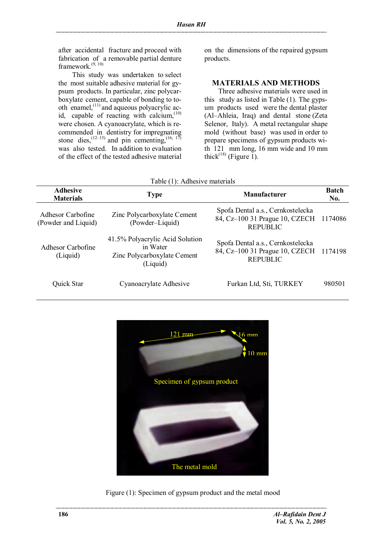after accidental fracture and proceed with fabrication of a removable partial denture framework. $(9, 10)$ 

This study was undertaken to select the most suitable adhesive material for gypsum products. In particular, zinc polycarboxylate cement, capable of bonding to tooth enamel, $^{(11)}$  and aqueous polyacrylic acid, capable of reacting with calcium, $(10)$ were chosen. A cyanoacrylate, which is recommended in dentistry for impregnating stone dies,  $^{(12-15)}$  and pin cementing,  $^{(16, 17)}$ was also tested. In addition to evaluation of the effect of the tested adhesive material

on the dimensions of the repaired gypsum products.

## **MATERIALS AND METHODS**

Three adhesive materials were used in this study as listed in Table (1). The gypsum products used were the dental plaster (Al–Ahleia, Iraq) and dental stone (Zeta Selenor, Italy). A metal rectangular shape mold (without base) was used in order to prepare specimens of gypsum products with 121 mm long, 16 mm wide and 10 mm thick<sup> $(18)$ </sup> (Figure 1).

| Table (T): Adnesive materials            |                                                                                        |                                                                                                |                     |  |  |
|------------------------------------------|----------------------------------------------------------------------------------------|------------------------------------------------------------------------------------------------|---------------------|--|--|
| <b>Adhesive</b><br><b>Materials</b>      | <b>Type</b>                                                                            | <b>Manufacturer</b>                                                                            | <b>Batch</b><br>No. |  |  |
| Adhesor Carbofine<br>(Powder and Liquid) | Zinc Polycarboxylate Cement<br>(Powder–Liquid)                                         | Spofa Dental a.s., Cernkostelecka<br>84, Cz-100 31 Prague 10, CZECH 1174086<br><b>REPUBLIC</b> |                     |  |  |
| Adhesor Carbofine<br>(Liquid)            | 41.5% Polyacrylic Acid Solution<br>in Water<br>Zinc Polycarboxylate Cement<br>(Liquid) | Spofa Dental a.s., Cernkostelecka<br>84, Cz-100 31 Prague 10, CZECH 1174198<br><b>REPUBLIC</b> |                     |  |  |
| Quick Star                               | Cyanoacrylate Adhesive                                                                 | Furkan Ltd, Sti, TURKEY                                                                        | 980501              |  |  |

 $T = 11$ :  $(1)$ : Adh



Figure (1): Specimen of gypsum product and the metal mood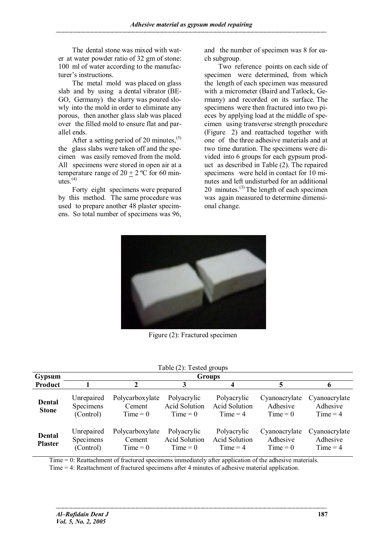The dental stone was mixed with water at water powder ratio of 32 gm of stone: 100 ml of water according to the manufacturer's instructions.

The metal mold was placed on glass slab and by using a dental vibrator (BE-GO, Germany) the slurry was poured slowly into the mold in order to eliminate any porous, then another glass slab was placed over the filled mold to ensure flat and parallel ends.

After a setting period of 20 minutes,<sup>(5)</sup> the glass slabs were taken off and the specimen was easily removed from the mold. All specimens were stored in open air at a temperature range of  $20 + 2$  °C for 60 minutes. $(4)$ 

Forty eight specimens were prepared by this method. The same procedure was used to prepare another 48 plaster specimens. So total number of specimens was 96, and the number of specimen was 8 for each subgroup.

Two reference points on each side of specimen were determined, from which the length of each specimen was measured with a micrometer (Baird and Tatlock, Germany) and recorded on its surface. The specimens were then fractured into two pieces by applying load at the middle of specimen using transverse strength procedure (Figure 2) and reattached together with one of the three adhesive materials and at two time duration. The specimens were divided into 6 groups for each gypsum product as described in Table (2). The repaired specimens were held in contact for 10 minutes and left undisturbed for an additional 20 minutes.<sup>(3)</sup> The length of each specimen was again measured to determine dimensional change.



Figure (2): Fractured specimen

| Table (2): Tested groups        |                                      |                                         |                                                   |                                                   |                                         |                                         |
|---------------------------------|--------------------------------------|-----------------------------------------|---------------------------------------------------|---------------------------------------------------|-----------------------------------------|-----------------------------------------|
| <b>Gypsum</b>                   | <b>Groups</b>                        |                                         |                                                   |                                                   |                                         |                                         |
| Product                         |                                      | 2                                       | 3                                                 | 4                                                 | 5                                       | o                                       |
| Dental<br><b>Stone</b>          | Unrepaired<br>Specimens<br>(Control) | Polycarboxylate<br>Cement<br>$Time = 0$ | Polyacrylic<br><b>Acid Solution</b><br>$Time = 0$ | Polyacrylic<br><b>Acid Solution</b><br>$Time = 4$ | Cyanoacrylate<br>Adhesive<br>$Time = 0$ | Cyanoacrylate<br>Adhesive<br>$Time = 4$ |
| <b>Dental</b><br><b>Plaster</b> | Unrepaired<br>Specimens<br>(Control) | Polycarboxylate<br>Cement<br>$Time = 0$ | Polyacrylic<br><b>Acid Solution</b><br>$Time = 0$ | Polyacrylic<br><b>Acid Solution</b><br>$Time = 4$ | Cyanoacrylate<br>Adhesive<br>$Time = 0$ | Cyanoacrylate<br>Adhesive<br>$Time = 4$ |

Time = 0: Reattachment of fractured specimens immediately after application of the adhesive materials. Time = 4: Reattachment of fractured specimens after 4 minutes of adhesive material application.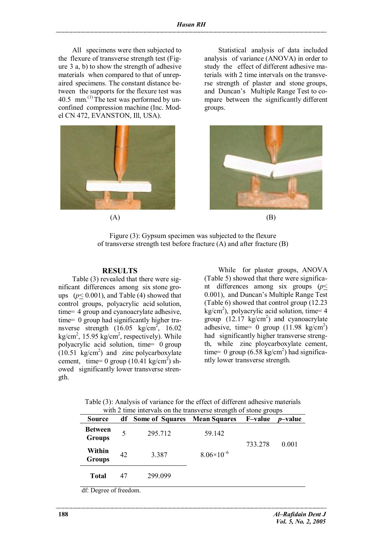All specimens were then subjected to the flexure of transverse strength test (Figure 3 a, b) to show the strength of adhesive materials when compared to that of unrepaired specimens. The constant distance between the supports for the flexure test was 40.5 mm.<sup>(1)</sup> The test was performed by unconfined compression machine (Inc. Model CN 472, EVANSTON, Ill, USA).



Statistical analysis of data included analysis of variance (ANOVA) in order to study the effect of different adhesive materials with 2 time intervals on the transverse strength of plaster and stone groups, and Duncan's Multiple Range Test to compare between the significantly different groups.



 $(A)$  (B)

Figure (3): Gypsum specimen was subjected to the flexure of transverse strength test before fracture (A) and after fracture (B)

### **RESULTS**

Table (3) revealed that there were significant differences among six stone groups  $(p \le 0.001)$ , and Table (4) showed that control groups, polyacrylic acid solution, time= 4 group and cyanoacrylate adhesive, time= 0 group had significantly higher transverse strength  $(16.05 \text{ kg/cm}^2, 16.02)$  $kg/cm<sup>2</sup>$ , 15.95 kg/cm<sup>2</sup>, respectively). While polyacrylic acid solution, time= 0 group  $(10.51 \text{ kg/cm}^2)$  and zinc polycarboxylate cement, time= 0 group  $(10.41 \text{ kg/cm}^2)$  showed significantly lower transverse strength.

While for plaster groups, ANOVA (Table 5) showed that there were significant differences among six groups (*p*< 0.001), and Duncan's Multiple Range Test (Table 6) showed that control group (12.23  $kg/cm<sup>2</sup>$ ), polyacrylic acid solution, time= 4 group  $(12.17 \text{ kg/cm}^2)$  and cyanoacrylate adhesive, time= 0 group  $(11.98 \text{ kg/cm}^2)$ had significantly higher transverse strength, while zinc ploycarboxylate cement, time= 0 group  $(6.58 \text{ kg/cm}^2)$  had significantly lower transverse strength.

| with 2 time intervals on the transverse strength of stone groups |    |                        |                     |                 |                 |  |
|------------------------------------------------------------------|----|------------------------|---------------------|-----------------|-----------------|--|
| Source                                                           | df | <b>Some of Squares</b> | <b>Mean Squares</b> | <b>F</b> -value | <i>p</i> –value |  |
| <b>Between</b><br><b>Groups</b>                                  |    | 295.712                | 59.142              |                 |                 |  |
| Within<br><b>Groups</b>                                          | 42 | 3.387                  | $8.06\times10^{-6}$ | 733.278         | 0.001           |  |
| <b>Total</b>                                                     | 47 | 299.099                |                     |                 |                 |  |

Table (3): Analysis of variance for the effect of different adhesive materials with 2 time intervals on the transverse strength of stone groups

df: Degree of freedom.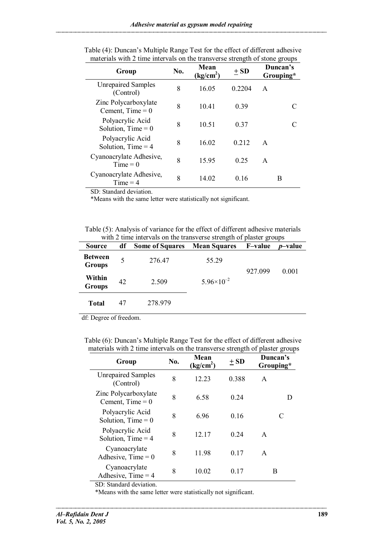| Group                                      | No. | Mean<br>(kg/cm <sup>2</sup> ) | $\pm SD$ | Duncan's<br>Grouping* |
|--------------------------------------------|-----|-------------------------------|----------|-----------------------|
| <b>Unrepaired Samples</b><br>(Control)     | 8   | 16.05                         | 0.2204   | A                     |
| Zinc Polycarboxylate<br>Cement, $Time = 0$ | 8   | 10.41                         | 0.39     |                       |
| Polyacrylic Acid<br>Solution, Time $= 0$   | 8   | 10.51                         | 0.37     |                       |
| Polyacrylic Acid<br>Solution, Time $=$ 4   | 8   | 16.02                         | 0 2 1 2  | $\mathsf{A}$          |
| Cyanoacrylate Adhesive,<br>$Time = 0$      | 8   | 15.95                         | 0.25     | A                     |
| Cyanoacrylate Adhesive,<br>$Time = 4$      | 8   | 14.02                         | 0.16     | B                     |

Table (4): Duncan's Multiple Range Test for the effect of different adhesive materials with 2 time intervals on the transverse strength of stone groups

SD: Standard deviation.

\*Means with the same letter were statistically not significant.

Table (5): Analysis of variance for the effect of different adhesive materials with 2 time intervals on the transverse strength of plaster groups

| <b>Source</b>                   | df | <b>Some of Squares</b> | <b>Mean Squares</b>   | <b>F-value</b> | $\overline{\phantom{a}}$<br><i>p</i> -value |
|---------------------------------|----|------------------------|-----------------------|----------------|---------------------------------------------|
| <b>Between</b><br><b>Groups</b> | 5  | 276.47                 | 55.29                 | 927.099        | 0.001                                       |
| Within<br><b>Groups</b>         | 42 | 2.509                  | $5.96 \times 10^{-2}$ |                |                                             |
| <b>Total</b>                    | 47 | 278.979                |                       |                |                                             |

df: Degree of freedom.

Table (6): Duncan's Multiple Range Test for the effect of different adhesive materials with 2 time intervals on the transverse strength of plaster groups

| Group                                      | No. | Mean<br>(kg/cm <sup>2</sup> ) | $+SD$           | Duncan's<br>Grouping* |
|--------------------------------------------|-----|-------------------------------|-----------------|-----------------------|
| <b>Unrepaired Samples</b><br>(Control)     | 8   | 12.23                         | 0.388           | A                     |
| Zinc Polycarboxylate<br>Cement, $Time = 0$ | 8   | 6.58                          | 024             | D                     |
| Polyacrylic Acid<br>Solution, Time $= 0$   | 8   | 696                           | 016             | C                     |
| Polyacrylic Acid<br>Solution, Time $=$ 4   | 8   | 12.17                         | 024             | $\mathsf{A}$          |
| Cyanoacrylate<br>Adhesive, $Time = 0$      | 8   | 1198                          | 0 <sub>17</sub> | A                     |
| Cyanoacrylate<br>Adhesive, $Time = 4$      | 8   | 10.02                         | 0.17            | B                     |

SD: Standard deviation.

--------------------------

\*Means with the same letter were statistically not significant.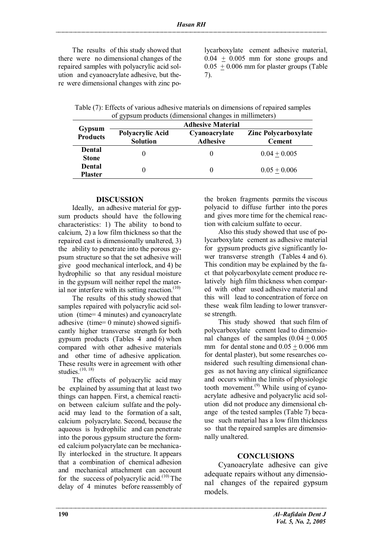The results of this study showed that there were no dimensional changes of the repaired samples with polyacrylic acid solution and cyanoacrylate adhesive, but there were dimensional changes with zinc polycarboxylate cement adhesive material,  $0.04 + 0.005$  mm for stone groups and  $0.05 + 0.006$  mm for plaster groups (Table 7).

Table (7): Effects of various adhesive materials on dimensions of repaired samples of gypsum products (dimensional changes in millimeters)

|                               | <b>Adhesive Material</b>            |                                  |                                              |  |  |
|-------------------------------|-------------------------------------|----------------------------------|----------------------------------------------|--|--|
| Gypsum<br><b>Products</b>     | Polyacrylic Acid<br><b>Solution</b> | Cyanoacrylate<br><b>Adhesive</b> | <b>Zinc Polycarboxylate</b><br><b>Cement</b> |  |  |
| <b>Dental</b><br><b>Stone</b> |                                     |                                  | $0.04 + 0.005$                               |  |  |
| Dental<br><b>Plaster</b>      |                                     |                                  | $0.05 + 0.006$                               |  |  |

## **DISCUSSION**

Ideally, an adhesive material for gypsum products should have the following characteristics: 1) The ability to bond to calcium, 2) a low film thickness so that the repaired cast is dimensionally unaltered, 3) the ability to penetrate into the porous gypsum structure so that the set adhesive will give good mechanical interlock, and 4) be hydrophilic so that any residual moisture in the gypsum will neither repel the material nor interfere with its setting reaction. $(10)$ 

The results of this study showed that samples repaired with polyacrylic acid solution (time= 4 minutes) and cyanoacrylate adhesive (time= 0 minute) showed significantly higher transverse strength for both gypsum products (Tables 4 and 6) when compared with other adhesive materials and other time of adhesive application. These results were in agreement with other studies. $(10, 18)$ 

The effects of polyacrylic acid may be explained by assuming that at least two things can happen. First, a chemical reaction between calcium sulfate and the polyacid may lead to the formation of a salt, calcium polyacrylate. Second, because the aqueous is hydrophilic and can penetrate into the porous gypsum structure the formed calcium polyacrylate can be mechanically interlocked in the structure. It appears that a combination of chemical adhesion and mechanical attachment can account for the success of polyacrylic acid.<sup> $(10)$ </sup>The delay of 4 minutes before reassembly of the broken fragments permits the viscous polyacid to diffuse further into the pores and gives more time for the chemical reaction with calcium sulfate to occur.

Also this study showed that use of polycarboxylate cement as adhesive material for gypsum products give significantly lower transverse strength (Tables 4 and 6). This condition may be explained by the fact that polycarboxylate cement produce relatively high film thickness when compared with other used adhesive material and this will lead to concentration of force on these weak film leading to lower transverse strength.

This study showed that such film of polycarboxylate cement lead to dimensional changes of the samples  $(0.04 \pm 0.005)$ mm for dental stone and  $0.05 + 0.006$  mm for dental plaster), but some researches considered such resulting dimensional changes as not having any clinical significance and occurs within the limits of physiologic tooth movement.<sup> $(9)$ </sup> While using of cyanoacrylate adhesive and polyacrylic acid solution did not produce any dimensional change of the tested samples (Table 7) because such material has a low film thickness so that the repaired samples are dimensionally unaltered.

#### **CONCLUSIONS**

Cyanoacrylate adhesive can give adequate repairs without any dimensional changes of the repaired gypsum models.